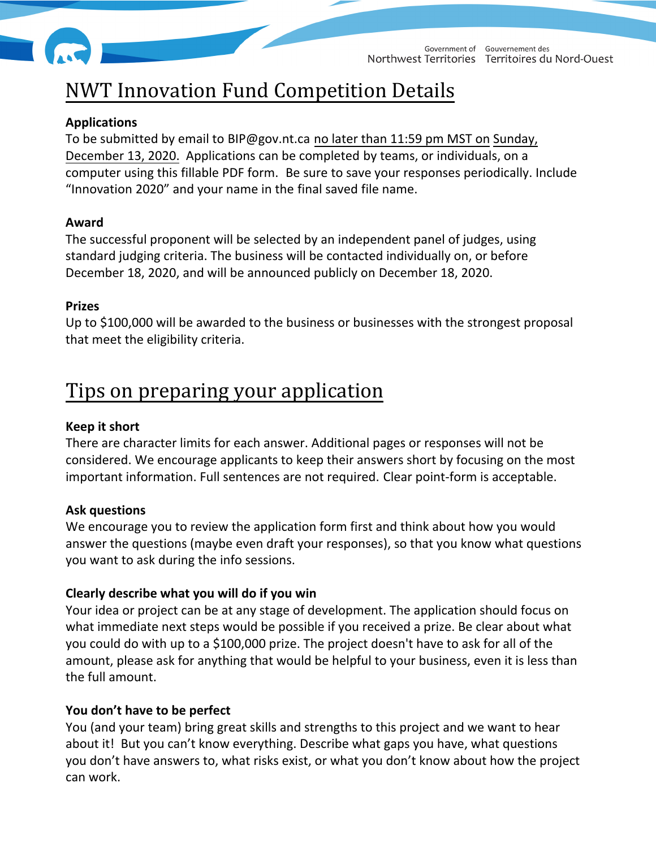

# NWT Innovation Fund Competition Details

#### **Applications**

To be submitted by email to BIP@gov.nt.ca no later than 11:59 pm MST on Sunday, December 13, 2020. Applications can be completed by teams, or individuals, on a computer using this fillable PDF form. Be sure to save your responses periodically. Include "Innovation 2020" and your name in the final saved file name.

#### **Award**

The successful proponent will be selected by an independent panel of judges, using standard judging criteria. The business will be contacted individually on, or before December 18, 2020, and will be announced publicly on December 18, 2020.

#### **Prizes**

Up to \$100,000 will be awarded to the business or businesses with the strongest proposal that meet the eligibility criteria.

## Tips on preparing your application

#### **Keep it short**

There are character limits for each answer. Additional pages or responses will not be considered. We encourage applicants to keep their answers short by focusing on the most important information. Full sentences are not required. Clear point-form is acceptable.

#### **Ask questions**

We encourage you to review the application form first and think about how you would answer the questions (maybe even draft your responses), so that you know what questions you want to ask during the info sessions.

#### **Clearly describe what you will do if you win**

Your idea or project can be at any stage of development. The application should focus on what immediate next steps would be possible if you received a prize. Be clear about what you could do with up to a \$100,000 prize. The project doesn't have to ask for all of the amount, please ask for anything that would be helpful to your business, even it is less than the full amount.

#### **You don't have to be perfect**

You (and your team) bring great skills and strengths to this project and we want to hear about it! But you can't know everything. Describe what gaps you have, what questions you don't have answers to, what risks exist, or what you don't know about how the project can work.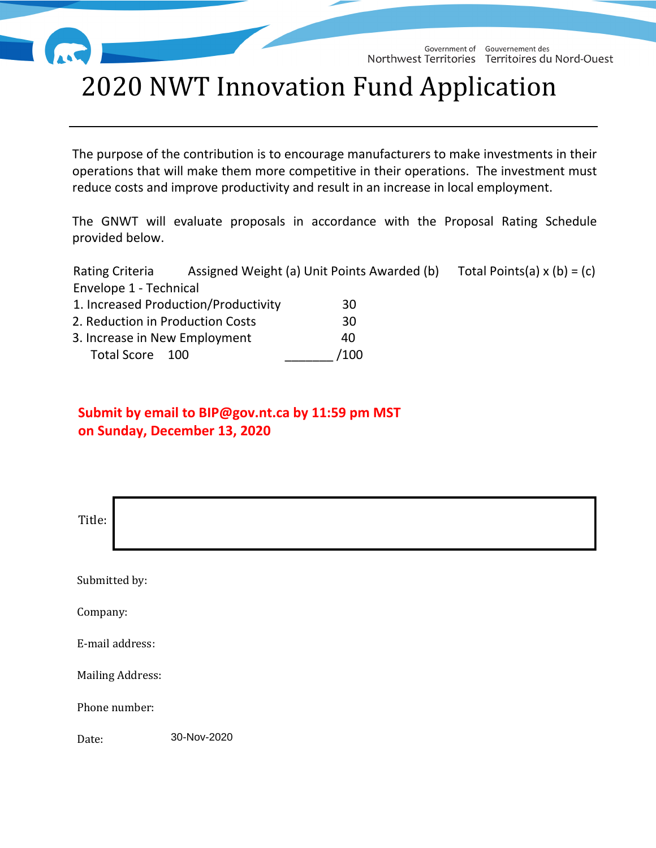

Government of Gouvernement des Northwest Territories Territoires du Nord-Ouest

# 2020 NWT Innovation Fund Application

The purpose of the contribution is to encourage manufacturers to make investments in their operations that will make them more competitive in their operations. The investment must reduce costs and improve productivity and result in an increase in local employment.

The GNWT will evaluate proposals in accordance with the Proposal Rating Schedule provided below.

Rating Criteria Assigned Weight (a) Unit Points Awarded (b) Total Points (a)  $x (b) = (c)$ Envelope 1 - Technical

| 1. Increased Production/Productivity | 30   |
|--------------------------------------|------|
| 2. Reduction in Production Costs     | 30   |
| 3. Increase in New Employment        | 40   |
| Total Score 100                      | /100 |

## **Submit by email to BIP@gov.nt.ca by 11:59 pm MST on Sunday, December 13, 2020**

| Title:                  |             |
|-------------------------|-------------|
| Submitted by:           |             |
| Company:                |             |
| E-mail address:         |             |
| <b>Mailing Address:</b> |             |
| Phone number:           |             |
| Date:                   | 30-Nov-2020 |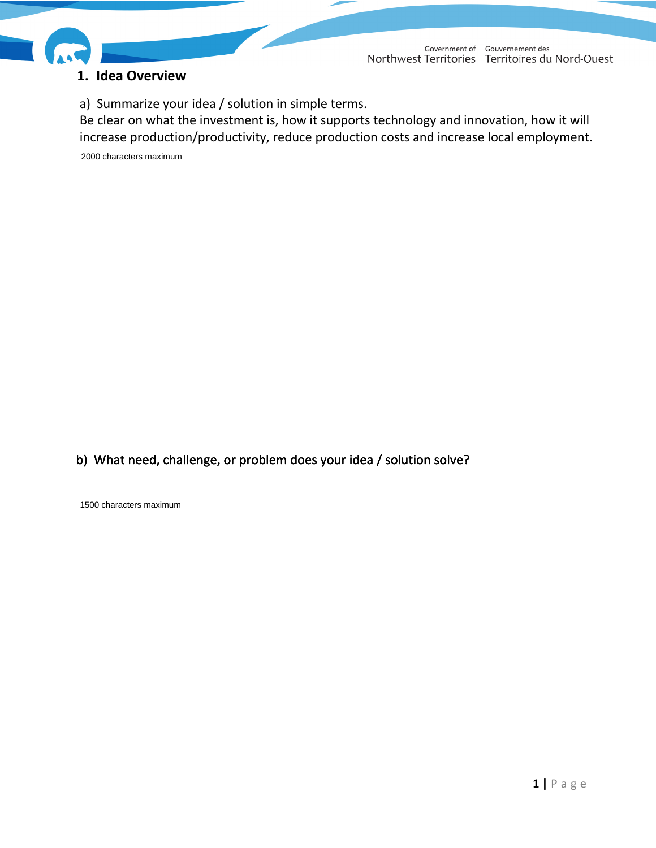

#### **1. Idea Overview**

Government of Gouvernement des Northwest Territories Territoires du Nord-Ouest

a) Summarize your idea / solution in simple terms.

Be clear on what the investment is, how it supports technology and innovation, how it will increase production/productivity, reduce production costs and increase local employment.

2000 characters maximum

b) What need, challenge, or problem does your idea / solution solve?

1500 characters maximum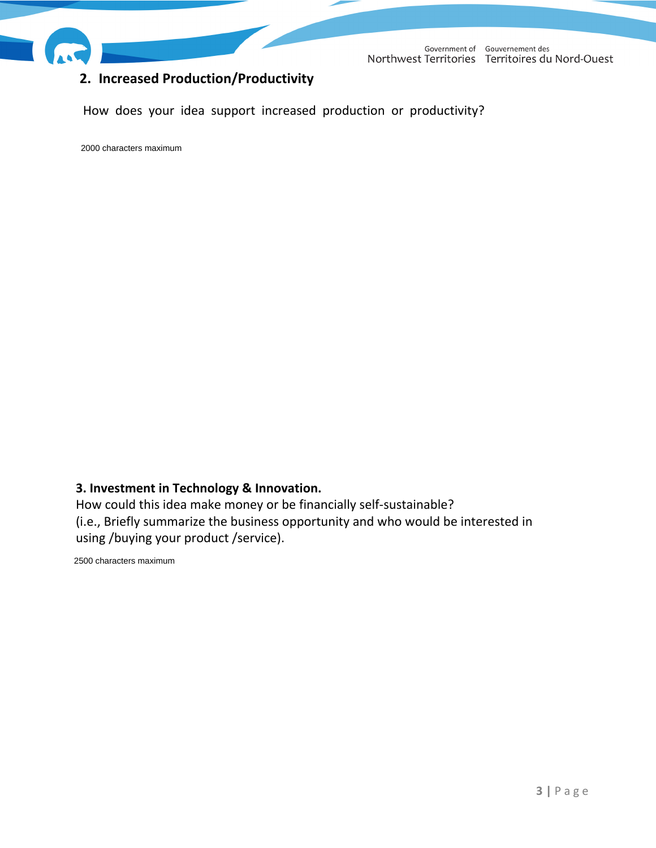

### **2. Increased Production/Productivity**

Government of Gouvernement des Northwest Territories Territoires du Nord-Ouest

How does your idea support increased production or productivity?

#### **3. Investment in Technology & Innovation.**

How could this idea make money or be financially self-sustainable? (i.e., Briefly summarize the business opportunity and who would be interested in 3. Investment in Technology & Innov<br>How could this idea make money or l<br>(i.e., Briefly summarize the business of<br>using /buying your product /service).

2500 characters maximum